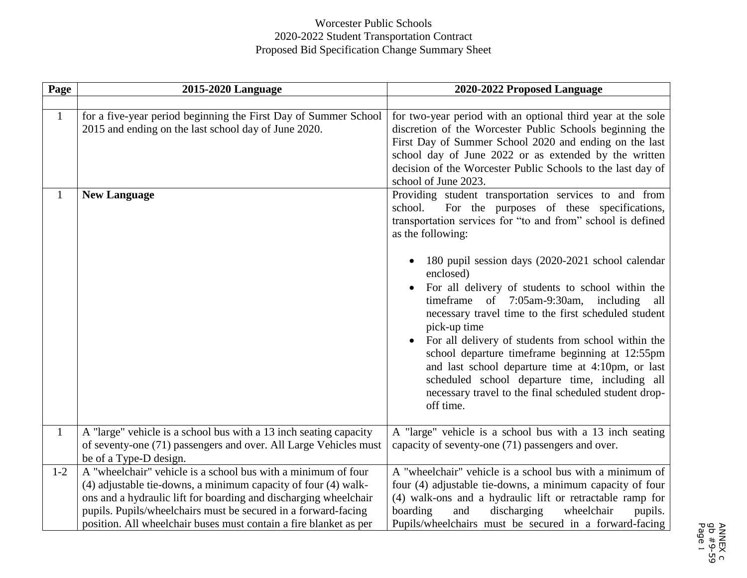## Worcester Public Schools 2020-2022 Student Transportation Contract Proposed Bid Specification Change Summary Sheet

| <b>Page</b>  | 2015-2020 Language                                                                                                                                                                                                                                                                                                                         | 2020-2022 Proposed Language                                                                                                                                                                                                                                                                                                                                                                                                                                                                                                                                                                                                                                                                                                                    |
|--------------|--------------------------------------------------------------------------------------------------------------------------------------------------------------------------------------------------------------------------------------------------------------------------------------------------------------------------------------------|------------------------------------------------------------------------------------------------------------------------------------------------------------------------------------------------------------------------------------------------------------------------------------------------------------------------------------------------------------------------------------------------------------------------------------------------------------------------------------------------------------------------------------------------------------------------------------------------------------------------------------------------------------------------------------------------------------------------------------------------|
|              |                                                                                                                                                                                                                                                                                                                                            |                                                                                                                                                                                                                                                                                                                                                                                                                                                                                                                                                                                                                                                                                                                                                |
| $\mathbf{1}$ | for a five-year period beginning the First Day of Summer School<br>2015 and ending on the last school day of June 2020.                                                                                                                                                                                                                    | for two-year period with an optional third year at the sole<br>discretion of the Worcester Public Schools beginning the<br>First Day of Summer School 2020 and ending on the last<br>school day of June 2022 or as extended by the written<br>decision of the Worcester Public Schools to the last day of<br>school of June 2023.                                                                                                                                                                                                                                                                                                                                                                                                              |
| 1            | <b>New Language</b>                                                                                                                                                                                                                                                                                                                        | Providing student transportation services to and from<br>For the purposes of these specifications,<br>school.<br>transportation services for "to and from" school is defined<br>as the following:<br>180 pupil session days (2020-2021 school calendar<br>enclosed)<br>For all delivery of students to school within the<br>time frame of $7:05$ am-9:30am,<br>including<br>all<br>necessary travel time to the first scheduled student<br>pick-up time<br>For all delivery of students from school within the<br>school departure timeframe beginning at 12:55pm<br>and last school departure time at 4:10pm, or last<br>scheduled school departure time, including all<br>necessary travel to the final scheduled student drop-<br>off time. |
| $\mathbf{1}$ | A "large" vehicle is a school bus with a 13 inch seating capacity<br>of seventy-one (71) passengers and over. All Large Vehicles must<br>be of a Type-D design.                                                                                                                                                                            | A "large" vehicle is a school bus with a 13 inch seating<br>capacity of seventy-one (71) passengers and over.                                                                                                                                                                                                                                                                                                                                                                                                                                                                                                                                                                                                                                  |
| $1 - 2$      | A "wheelchair" vehicle is a school bus with a minimum of four<br>(4) adjustable tie-downs, a minimum capacity of four (4) walk-<br>ons and a hydraulic lift for boarding and discharging wheelchair<br>pupils. Pupils/wheelchairs must be secured in a forward-facing<br>position. All wheelchair buses must contain a fire blanket as per | A "wheelchair" vehicle is a school bus with a minimum of<br>four (4) adjustable tie-downs, a minimum capacity of four<br>(4) walk-ons and a hydraulic lift or retractable ramp for<br>boarding<br>and<br>discharging<br>wheelchair<br>pupils.<br>Pupils/wheelchairs must be secured in a forward-facing                                                                                                                                                                                                                                                                                                                                                                                                                                        |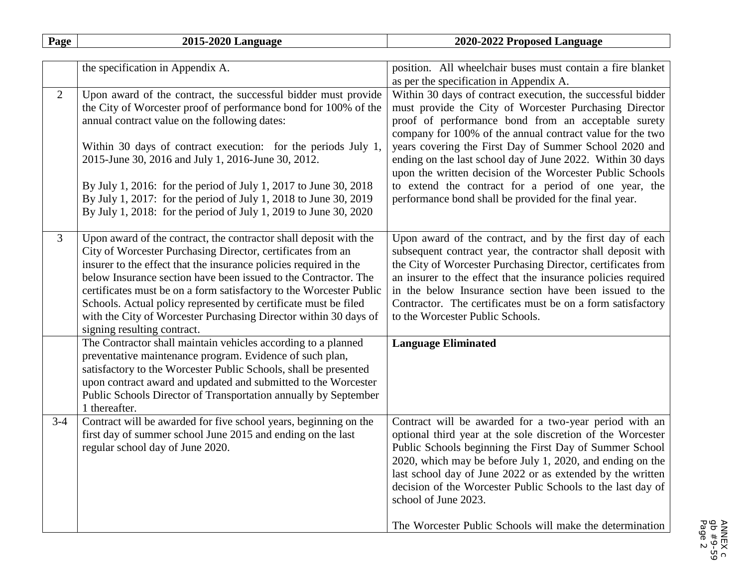| Page           | 2015-2020 Language                                                                                                                                                                                                                                                                                                                                                                                                                                                                                                    | 2020-2022 Proposed Language                                                                                                                                                                                                                                                                                                                                                                                                                                                                                                                      |
|----------------|-----------------------------------------------------------------------------------------------------------------------------------------------------------------------------------------------------------------------------------------------------------------------------------------------------------------------------------------------------------------------------------------------------------------------------------------------------------------------------------------------------------------------|--------------------------------------------------------------------------------------------------------------------------------------------------------------------------------------------------------------------------------------------------------------------------------------------------------------------------------------------------------------------------------------------------------------------------------------------------------------------------------------------------------------------------------------------------|
|                |                                                                                                                                                                                                                                                                                                                                                                                                                                                                                                                       |                                                                                                                                                                                                                                                                                                                                                                                                                                                                                                                                                  |
|                | the specification in Appendix A.                                                                                                                                                                                                                                                                                                                                                                                                                                                                                      | position. All wheelchair buses must contain a fire blanket<br>as per the specification in Appendix A.                                                                                                                                                                                                                                                                                                                                                                                                                                            |
| 2              | Upon award of the contract, the successful bidder must provide<br>the City of Worcester proof of performance bond for 100% of the<br>annual contract value on the following dates:<br>Within 30 days of contract execution: for the periods July 1,<br>2015-June 30, 2016 and July 1, 2016-June 30, 2012.<br>By July 1, 2016: for the period of July 1, 2017 to June 30, 2018<br>By July 1, 2017: for the period of July 1, 2018 to June 30, 2019<br>By July 1, 2018: for the period of July 1, 2019 to June 30, 2020 | Within 30 days of contract execution, the successful bidder<br>must provide the City of Worcester Purchasing Director<br>proof of performance bond from an acceptable surety<br>company for 100% of the annual contract value for the two<br>years covering the First Day of Summer School 2020 and<br>ending on the last school day of June 2022. Within 30 days<br>upon the written decision of the Worcester Public Schools<br>to extend the contract for a period of one year, the<br>performance bond shall be provided for the final year. |
| $\overline{3}$ | Upon award of the contract, the contractor shall deposit with the<br>City of Worcester Purchasing Director, certificates from an<br>insurer to the effect that the insurance policies required in the<br>below Insurance section have been issued to the Contractor. The<br>certificates must be on a form satisfactory to the Worcester Public<br>Schools. Actual policy represented by certificate must be filed<br>with the City of Worcester Purchasing Director within 30 days of<br>signing resulting contract. | Upon award of the contract, and by the first day of each<br>subsequent contract year, the contractor shall deposit with<br>the City of Worcester Purchasing Director, certificates from<br>an insurer to the effect that the insurance policies required<br>in the below Insurance section have been issued to the<br>Contractor. The certificates must be on a form satisfactory<br>to the Worcester Public Schools.                                                                                                                            |
|                | The Contractor shall maintain vehicles according to a planned<br>preventative maintenance program. Evidence of such plan,<br>satisfactory to the Worcester Public Schools, shall be presented<br>upon contract award and updated and submitted to the Worcester<br>Public Schools Director of Transportation annually by September<br>1 thereafter.                                                                                                                                                                   | <b>Language Eliminated</b>                                                                                                                                                                                                                                                                                                                                                                                                                                                                                                                       |
| $3-4$          | Contract will be awarded for five school years, beginning on the<br>first day of summer school June 2015 and ending on the last<br>regular school day of June 2020.                                                                                                                                                                                                                                                                                                                                                   | Contract will be awarded for a two-year period with an<br>optional third year at the sole discretion of the Worcester<br>Public Schools beginning the First Day of Summer School<br>2020, which may be before July 1, 2020, and ending on the<br>last school day of June 2022 or as extended by the written<br>decision of the Worcester Public Schools to the last day of<br>school of June 2023.<br>The Worcester Public Schools will make the determination                                                                                   |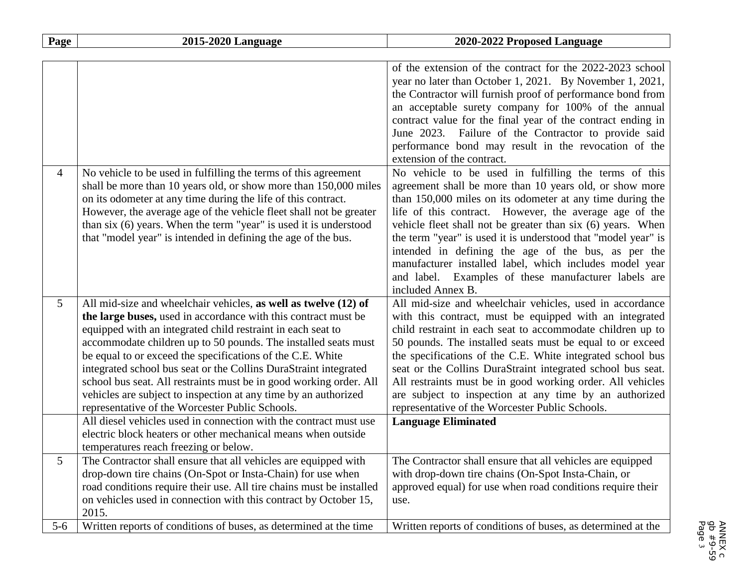| Page           | 2015-2020 Language                                                                                                                                                                                                                                                                                                                                                                                                                                                                                                                                                                               | 2020-2022 Proposed Language                                                                                                                                                                                                                                                                                                                                                                                                                                                                                                                                            |
|----------------|--------------------------------------------------------------------------------------------------------------------------------------------------------------------------------------------------------------------------------------------------------------------------------------------------------------------------------------------------------------------------------------------------------------------------------------------------------------------------------------------------------------------------------------------------------------------------------------------------|------------------------------------------------------------------------------------------------------------------------------------------------------------------------------------------------------------------------------------------------------------------------------------------------------------------------------------------------------------------------------------------------------------------------------------------------------------------------------------------------------------------------------------------------------------------------|
|                |                                                                                                                                                                                                                                                                                                                                                                                                                                                                                                                                                                                                  |                                                                                                                                                                                                                                                                                                                                                                                                                                                                                                                                                                        |
|                |                                                                                                                                                                                                                                                                                                                                                                                                                                                                                                                                                                                                  | of the extension of the contract for the 2022-2023 school<br>year no later than October 1, 2021. By November 1, 2021,<br>the Contractor will furnish proof of performance bond from<br>an acceptable surety company for 100% of the annual<br>contract value for the final year of the contract ending in                                                                                                                                                                                                                                                              |
|                |                                                                                                                                                                                                                                                                                                                                                                                                                                                                                                                                                                                                  | June 2023. Failure of the Contractor to provide said<br>performance bond may result in the revocation of the<br>extension of the contract.                                                                                                                                                                                                                                                                                                                                                                                                                             |
| $\overline{4}$ | No vehicle to be used in fulfilling the terms of this agreement<br>shall be more than 10 years old, or show more than 150,000 miles<br>on its odometer at any time during the life of this contract.<br>However, the average age of the vehicle fleet shall not be greater<br>than six (6) years. When the term "year" is used it is understood<br>that "model year" is intended in defining the age of the bus.                                                                                                                                                                                 | No vehicle to be used in fulfilling the terms of this<br>agreement shall be more than 10 years old, or show more<br>than 150,000 miles on its odometer at any time during the<br>life of this contract. However, the average age of the<br>vehicle fleet shall not be greater than six (6) years. When<br>the term "year" is used it is understood that "model year" is<br>intended in defining the age of the bus, as per the<br>manufacturer installed label, which includes model year<br>and label. Examples of these manufacturer labels are<br>included Annex B. |
| 5              | All mid-size and wheelchair vehicles, as well as twelve (12) of<br>the large buses, used in accordance with this contract must be<br>equipped with an integrated child restraint in each seat to<br>accommodate children up to 50 pounds. The installed seats must<br>be equal to or exceed the specifications of the C.E. White<br>integrated school bus seat or the Collins DuraStraint integrated<br>school bus seat. All restraints must be in good working order. All<br>vehicles are subject to inspection at any time by an authorized<br>representative of the Worcester Public Schools. | All mid-size and wheelchair vehicles, used in accordance<br>with this contract, must be equipped with an integrated<br>child restraint in each seat to accommodate children up to<br>50 pounds. The installed seats must be equal to or exceed<br>the specifications of the C.E. White integrated school bus<br>seat or the Collins DuraStraint integrated school bus seat.<br>All restraints must be in good working order. All vehicles<br>are subject to inspection at any time by an authorized<br>representative of the Worcester Public Schools.                 |
|                | All diesel vehicles used in connection with the contract must use<br>electric block heaters or other mechanical means when outside<br>temperatures reach freezing or below.                                                                                                                                                                                                                                                                                                                                                                                                                      | <b>Language Eliminated</b>                                                                                                                                                                                                                                                                                                                                                                                                                                                                                                                                             |
| 5              | The Contractor shall ensure that all vehicles are equipped with<br>drop-down tire chains (On-Spot or Insta-Chain) for use when<br>road conditions require their use. All tire chains must be installed<br>on vehicles used in connection with this contract by October 15,<br>2015.                                                                                                                                                                                                                                                                                                              | The Contractor shall ensure that all vehicles are equipped<br>with drop-down tire chains (On-Spot Insta-Chain, or<br>approved equal) for use when road conditions require their<br>use.                                                                                                                                                                                                                                                                                                                                                                                |
| $5 - 6$        | Written reports of conditions of buses, as determined at the time                                                                                                                                                                                                                                                                                                                                                                                                                                                                                                                                | Written reports of conditions of buses, as determined at the                                                                                                                                                                                                                                                                                                                                                                                                                                                                                                           |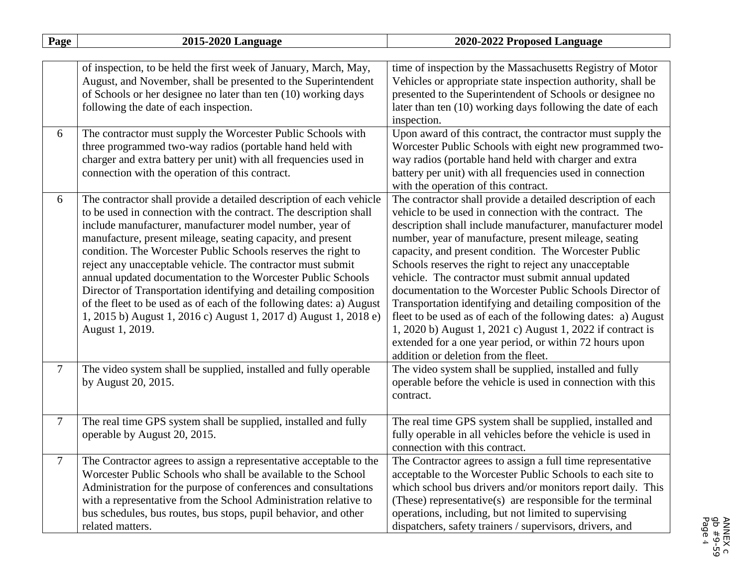| Page   | 2015-2020 Language                                                                                                                                                                                                                                                                                                                                                                                                                                                                                                                                                                                                                                                                                     | 2020-2022 Proposed Language                                                                                                                                                                                                                                                                                                                                                                                                                                                                                                                                                                                                                                                                                                                                                         |
|--------|--------------------------------------------------------------------------------------------------------------------------------------------------------------------------------------------------------------------------------------------------------------------------------------------------------------------------------------------------------------------------------------------------------------------------------------------------------------------------------------------------------------------------------------------------------------------------------------------------------------------------------------------------------------------------------------------------------|-------------------------------------------------------------------------------------------------------------------------------------------------------------------------------------------------------------------------------------------------------------------------------------------------------------------------------------------------------------------------------------------------------------------------------------------------------------------------------------------------------------------------------------------------------------------------------------------------------------------------------------------------------------------------------------------------------------------------------------------------------------------------------------|
|        |                                                                                                                                                                                                                                                                                                                                                                                                                                                                                                                                                                                                                                                                                                        |                                                                                                                                                                                                                                                                                                                                                                                                                                                                                                                                                                                                                                                                                                                                                                                     |
|        | of inspection, to be held the first week of January, March, May,<br>August, and November, shall be presented to the Superintendent<br>of Schools or her designee no later than ten (10) working days<br>following the date of each inspection.                                                                                                                                                                                                                                                                                                                                                                                                                                                         | time of inspection by the Massachusetts Registry of Motor<br>Vehicles or appropriate state inspection authority, shall be<br>presented to the Superintendent of Schools or designee no<br>later than ten (10) working days following the date of each<br>inspection.                                                                                                                                                                                                                                                                                                                                                                                                                                                                                                                |
| 6      | The contractor must supply the Worcester Public Schools with<br>three programmed two-way radios (portable hand held with<br>charger and extra battery per unit) with all frequencies used in<br>connection with the operation of this contract.                                                                                                                                                                                                                                                                                                                                                                                                                                                        | Upon award of this contract, the contractor must supply the<br>Worcester Public Schools with eight new programmed two-<br>way radios (portable hand held with charger and extra<br>battery per unit) with all frequencies used in connection<br>with the operation of this contract.                                                                                                                                                                                                                                                                                                                                                                                                                                                                                                |
| 6      | The contractor shall provide a detailed description of each vehicle<br>to be used in connection with the contract. The description shall<br>include manufacturer, manufacturer model number, year of<br>manufacture, present mileage, seating capacity, and present<br>condition. The Worcester Public Schools reserves the right to<br>reject any unacceptable vehicle. The contractor must submit<br>annual updated documentation to the Worcester Public Schools<br>Director of Transportation identifying and detailing composition<br>of the fleet to be used as of each of the following dates: a) August<br>1, 2015 b) August 1, 2016 c) August 1, 2017 d) August 1, 2018 e)<br>August 1, 2019. | The contractor shall provide a detailed description of each<br>vehicle to be used in connection with the contract. The<br>description shall include manufacturer, manufacturer model<br>number, year of manufacture, present mileage, seating<br>capacity, and present condition. The Worcester Public<br>Schools reserves the right to reject any unacceptable<br>vehicle. The contractor must submit annual updated<br>documentation to the Worcester Public Schools Director of<br>Transportation identifying and detailing composition of the<br>fleet to be used as of each of the following dates: a) August<br>1, 2020 b) August 1, 2021 c) August 1, 2022 if contract is<br>extended for a one year period, or within 72 hours upon<br>addition or deletion from the fleet. |
| $\tau$ | The video system shall be supplied, installed and fully operable<br>by August 20, 2015.                                                                                                                                                                                                                                                                                                                                                                                                                                                                                                                                                                                                                | The video system shall be supplied, installed and fully<br>operable before the vehicle is used in connection with this<br>contract.                                                                                                                                                                                                                                                                                                                                                                                                                                                                                                                                                                                                                                                 |
| $\tau$ | The real time GPS system shall be supplied, installed and fully<br>operable by August 20, 2015.                                                                                                                                                                                                                                                                                                                                                                                                                                                                                                                                                                                                        | The real time GPS system shall be supplied, installed and<br>fully operable in all vehicles before the vehicle is used in<br>connection with this contract.                                                                                                                                                                                                                                                                                                                                                                                                                                                                                                                                                                                                                         |
| 7      | The Contractor agrees to assign a representative acceptable to the<br>Worcester Public Schools who shall be available to the School<br>Administration for the purpose of conferences and consultations<br>with a representative from the School Administration relative to<br>bus schedules, bus routes, bus stops, pupil behavior, and other<br>related matters.                                                                                                                                                                                                                                                                                                                                      | The Contractor agrees to assign a full time representative<br>acceptable to the Worcester Public Schools to each site to<br>which school bus drivers and/or monitors report daily. This<br>(These) representative(s) are responsible for the terminal<br>operations, including, but not limited to supervising<br>dispatchers, safety trainers / supervisors, drivers, and                                                                                                                                                                                                                                                                                                                                                                                                          |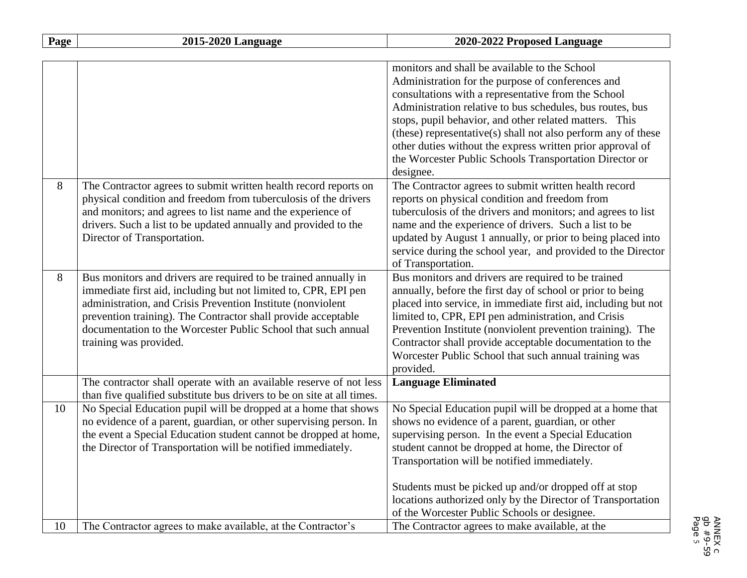| Page | 2015-2020 Language                                                                                                                                                                                                                                                                                                                                            | 2020-2022 Proposed Language                                                                                                                                                                                                                                                                                                                                                                                                                                                                                                                      |
|------|---------------------------------------------------------------------------------------------------------------------------------------------------------------------------------------------------------------------------------------------------------------------------------------------------------------------------------------------------------------|--------------------------------------------------------------------------------------------------------------------------------------------------------------------------------------------------------------------------------------------------------------------------------------------------------------------------------------------------------------------------------------------------------------------------------------------------------------------------------------------------------------------------------------------------|
|      |                                                                                                                                                                                                                                                                                                                                                               |                                                                                                                                                                                                                                                                                                                                                                                                                                                                                                                                                  |
| 8    | The Contractor agrees to submit written health record reports on                                                                                                                                                                                                                                                                                              | monitors and shall be available to the School<br>Administration for the purpose of conferences and<br>consultations with a representative from the School<br>Administration relative to bus schedules, bus routes, bus<br>stops, pupil behavior, and other related matters. This<br>(these) representative(s) shall not also perform any of these<br>other duties without the express written prior approval of<br>the Worcester Public Schools Transportation Director or<br>designee.<br>The Contractor agrees to submit written health record |
|      | physical condition and freedom from tuberculosis of the drivers<br>and monitors; and agrees to list name and the experience of<br>drivers. Such a list to be updated annually and provided to the<br>Director of Transportation.                                                                                                                              | reports on physical condition and freedom from<br>tuberculosis of the drivers and monitors; and agrees to list<br>name and the experience of drivers. Such a list to be<br>updated by August 1 annually, or prior to being placed into<br>service during the school year, and provided to the Director<br>of Transportation.                                                                                                                                                                                                                     |
| 8    | Bus monitors and drivers are required to be trained annually in<br>immediate first aid, including but not limited to, CPR, EPI pen<br>administration, and Crisis Prevention Institute (nonviolent<br>prevention training). The Contractor shall provide acceptable<br>documentation to the Worcester Public School that such annual<br>training was provided. | Bus monitors and drivers are required to be trained<br>annually, before the first day of school or prior to being<br>placed into service, in immediate first aid, including but not<br>limited to, CPR, EPI pen administration, and Crisis<br>Prevention Institute (nonviolent prevention training). The<br>Contractor shall provide acceptable documentation to the<br>Worcester Public School that such annual training was<br>provided.                                                                                                       |
|      | The contractor shall operate with an available reserve of not less<br>than five qualified substitute bus drivers to be on site at all times.                                                                                                                                                                                                                  | <b>Language Eliminated</b>                                                                                                                                                                                                                                                                                                                                                                                                                                                                                                                       |
| 10   | No Special Education pupil will be dropped at a home that shows<br>no evidence of a parent, guardian, or other supervising person. In<br>the event a Special Education student cannot be dropped at home,<br>the Director of Transportation will be notified immediately.                                                                                     | No Special Education pupil will be dropped at a home that<br>shows no evidence of a parent, guardian, or other<br>supervising person. In the event a Special Education<br>student cannot be dropped at home, the Director of<br>Transportation will be notified immediately.                                                                                                                                                                                                                                                                     |
| 10   | The Contractor agrees to make available, at the Contractor's                                                                                                                                                                                                                                                                                                  | Students must be picked up and/or dropped off at stop<br>locations authorized only by the Director of Transportation<br>of the Worcester Public Schools or designee.<br>The Contractor agrees to make available, at the                                                                                                                                                                                                                                                                                                                          |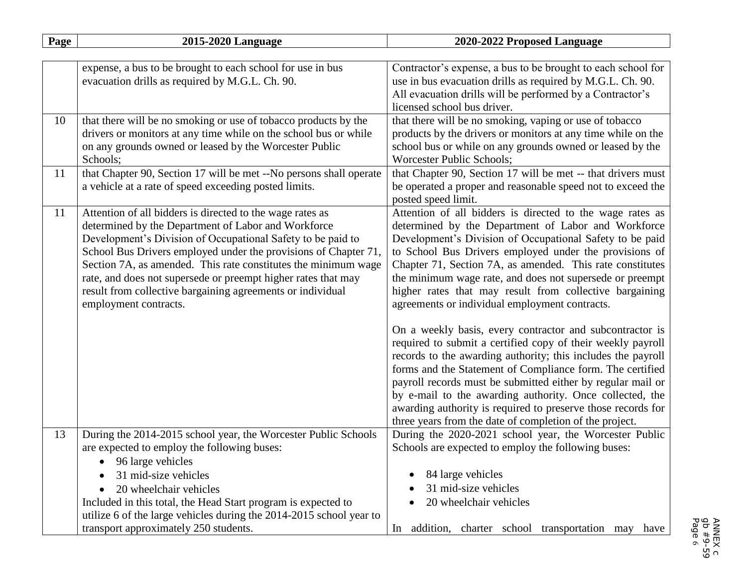| Page | 2015-2020 Language                                                                                                                                                                                                                                                                                                                                                                                                                                                           | 2020-2022 Proposed Language                                                                                                                                                                                                                                                                                                                                                                                                                                                                                                                                                                                                                                                                                                                                                                                                                                                                                                                                                                |
|------|------------------------------------------------------------------------------------------------------------------------------------------------------------------------------------------------------------------------------------------------------------------------------------------------------------------------------------------------------------------------------------------------------------------------------------------------------------------------------|--------------------------------------------------------------------------------------------------------------------------------------------------------------------------------------------------------------------------------------------------------------------------------------------------------------------------------------------------------------------------------------------------------------------------------------------------------------------------------------------------------------------------------------------------------------------------------------------------------------------------------------------------------------------------------------------------------------------------------------------------------------------------------------------------------------------------------------------------------------------------------------------------------------------------------------------------------------------------------------------|
|      |                                                                                                                                                                                                                                                                                                                                                                                                                                                                              |                                                                                                                                                                                                                                                                                                                                                                                                                                                                                                                                                                                                                                                                                                                                                                                                                                                                                                                                                                                            |
|      | expense, a bus to be brought to each school for use in bus<br>evacuation drills as required by M.G.L. Ch. 90.                                                                                                                                                                                                                                                                                                                                                                | Contractor's expense, a bus to be brought to each school for<br>use in bus evacuation drills as required by M.G.L. Ch. 90.<br>All evacuation drills will be performed by a Contractor's<br>licensed school bus driver.                                                                                                                                                                                                                                                                                                                                                                                                                                                                                                                                                                                                                                                                                                                                                                     |
| 10   | that there will be no smoking or use of tobacco products by the<br>drivers or monitors at any time while on the school bus or while<br>on any grounds owned or leased by the Worcester Public<br>Schools;                                                                                                                                                                                                                                                                    | that there will be no smoking, vaping or use of tobacco<br>products by the drivers or monitors at any time while on the<br>school bus or while on any grounds owned or leased by the<br>Worcester Public Schools;                                                                                                                                                                                                                                                                                                                                                                                                                                                                                                                                                                                                                                                                                                                                                                          |
| 11   | that Chapter 90, Section 17 will be met --No persons shall operate<br>a vehicle at a rate of speed exceeding posted limits.                                                                                                                                                                                                                                                                                                                                                  | that Chapter 90, Section 17 will be met -- that drivers must<br>be operated a proper and reasonable speed not to exceed the<br>posted speed limit.                                                                                                                                                                                                                                                                                                                                                                                                                                                                                                                                                                                                                                                                                                                                                                                                                                         |
| 11   | Attention of all bidders is directed to the wage rates as<br>determined by the Department of Labor and Workforce<br>Development's Division of Occupational Safety to be paid to<br>School Bus Drivers employed under the provisions of Chapter 71,<br>Section 7A, as amended. This rate constitutes the minimum wage<br>rate, and does not supersede or preempt higher rates that may<br>result from collective bargaining agreements or individual<br>employment contracts. | Attention of all bidders is directed to the wage rates as<br>determined by the Department of Labor and Workforce<br>Development's Division of Occupational Safety to be paid<br>to School Bus Drivers employed under the provisions of<br>Chapter 71, Section 7A, as amended. This rate constitutes<br>the minimum wage rate, and does not supersede or preempt<br>higher rates that may result from collective bargaining<br>agreements or individual employment contracts.<br>On a weekly basis, every contractor and subcontractor is<br>required to submit a certified copy of their weekly payroll<br>records to the awarding authority; this includes the payroll<br>forms and the Statement of Compliance form. The certified<br>payroll records must be submitted either by regular mail or<br>by e-mail to the awarding authority. Once collected, the<br>awarding authority is required to preserve those records for<br>three years from the date of completion of the project. |
| 13   | During the 2014-2015 school year, the Worcester Public Schools<br>are expected to employ the following buses:<br>96 large vehicles<br>31 mid-size vehicles<br>20 wheelchair vehicles<br>Included in this total, the Head Start program is expected to<br>utilize 6 of the large vehicles during the 2014-2015 school year to                                                                                                                                                 | During the 2020-2021 school year, the Worcester Public<br>Schools are expected to employ the following buses:<br>84 large vehicles<br>31 mid-size vehicles<br>20 wheelchair vehicles                                                                                                                                                                                                                                                                                                                                                                                                                                                                                                                                                                                                                                                                                                                                                                                                       |
|      | transport approximately 250 students.                                                                                                                                                                                                                                                                                                                                                                                                                                        | addition, charter school transportation may<br>In<br>have                                                                                                                                                                                                                                                                                                                                                                                                                                                                                                                                                                                                                                                                                                                                                                                                                                                                                                                                  |